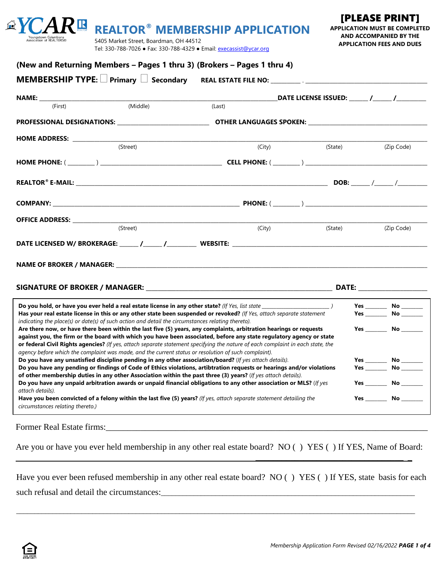| Association of REALTORS® | 5405 Market Street, Boardman, OH 44512<br>Tel: 330-788-7026 • Fax: 330-788-4329 • Email: execassist@ycar.org |        |                   | <b>APPLICATION FEES AND DUES</b> |  |  |
|--------------------------|--------------------------------------------------------------------------------------------------------------|--------|-------------------|----------------------------------|--|--|
|                          | (New and Returning Members - Pages 1 thru 3) (Brokers - Pages 1 thru 4)                                      |        |                   |                                  |  |  |
|                          |                                                                                                              |        |                   |                                  |  |  |
|                          |                                                                                                              |        |                   |                                  |  |  |
|                          | (Middle)<br>(First)                                                                                          | (Last) |                   |                                  |  |  |
|                          |                                                                                                              |        |                   |                                  |  |  |
|                          |                                                                                                              |        |                   |                                  |  |  |
|                          | (Street)                                                                                                     |        | (City)<br>(State) | (Zip Code)                       |  |  |
|                          |                                                                                                              |        |                   |                                  |  |  |
|                          |                                                                                                              |        |                   |                                  |  |  |
|                          |                                                                                                              |        |                   |                                  |  |  |
|                          |                                                                                                              |        |                   |                                  |  |  |
|                          | (Street)                                                                                                     | (City) | (State)           | (Zip Code)                       |  |  |
|                          |                                                                                                              |        |                   |                                  |  |  |
|                          |                                                                                                              |        |                   |                                  |  |  |

**REALTOR® MEMBERSHIP APPLICATION**

### **SIGNATURE OF BROKER / MANAGER:** \_\_\_\_\_\_\_\_\_\_\_\_\_\_\_\_\_\_\_\_\_\_\_\_\_\_\_\_\_\_\_\_\_\_\_\_\_\_\_\_\_\_\_\_\_\_\_\_\_\_\_\_\_\_\_\_\_\_\_\_\_\_ **DATE:** \_\_\_\_\_\_\_\_\_\_\_\_\_\_\_\_\_\_\_\_\_\_\_

**Do you hold, or have you ever held a real estate license in any other state?** *(If Yes, list state \_\_\_\_\_\_\_\_\_\_\_\_\_\_\_\_\_\_\_\_\_\_\_\_\_\_\_\_ )* **Yes** \_\_\_\_\_\_\_\_\_ **No** \_\_\_\_\_\_\_\_\_ **Has your real estate license in this or any other state been suspended or revoked?** *(If Yes, attach separate statement* **Yes** \_\_\_\_\_\_\_\_\_ **No** \_\_\_\_\_\_\_\_\_ *indicating the place(s) or date(s) of such action and detail the circumstances relating thereto).* **Are there now, or have there been within the last five (5) years, any complaints, arbitration hearings or requests Yes \_\_\_\_\_\_\_\_\_ No \_\_\_\_\_\_\_\_\_ against you, the firm or the board with which you have been associated, before any state regulatory agency or state or federal Civil Rights agencies?** *(If yes, attach separate statement specifying the nature of each complaint in each state, the agency before which the complaint was made, and the current status or resolution of such complaint).* **Do you have any unsatisfied discipline pending in any other association/board?** (*If yes attach details).* **Yes \_\_\_\_\_\_\_\_\_ No \_\_\_\_\_\_\_\_\_ Do you have any pending or findings of Code of Ethics violations, artibtration requests or hearings and/or violations Yes \_\_\_\_\_\_\_\_\_ No \_\_\_\_\_\_\_\_\_ of other membership duties in any other Association within the past three (3) years?** (*If yes attach details).* **Do you have any unpaid arbitration awards or unpaid financial obligations to any other association or MLS?** (*If yes* **Yes \_\_\_\_\_\_\_\_\_ No \_\_\_\_\_\_\_\_\_** *attach details).* **Have you been convicted of a felony within the last five (5) years?** *(If yes, attach separate statement detailing the* **Yes \_\_\_\_\_\_\_\_\_ No \_\_\_\_\_\_\_\_\_** *circumstances relating thereto.)*

Former Real Estate firms:

Are you or have you ever held membership in any other real estate board? NO () YES () If YES, Name of Board:

Have you ever been refused membership in any other real estate board? NO () YES () If YES, state basis for each such refusal and detail the circumstances:

\_\_\_\_\_\_\_\_\_\_\_\_\_\_\_\_\_\_\_\_\_\_\_\_\_\_\_\_\_\_\_\_\_\_\_\_\_\_\_\_\_\_\_\_\_\_\_\_\_\_\_\_\_\_\_\_\_\_\_\_\_\_\_\_\_\_\_\_\_\_\_\_\_\_\_\_\_\_\_\_\_\_\_\_\_\_\_\_\_\_\_\_\_\_\_\_\_\_\_\_\_\_\_\_\_\_\_\_\_\_

\_\_\_\_\_\_\_\_\_\_\_\_\_\_\_\_\_\_\_\_\_\_\_\_\_\_\_\_\_\_\_\_\_\_ \_



**APPLICATION MUST BE COMPLETED AND ACCOMPANIED BY THE** 

[PLEASE PRINT]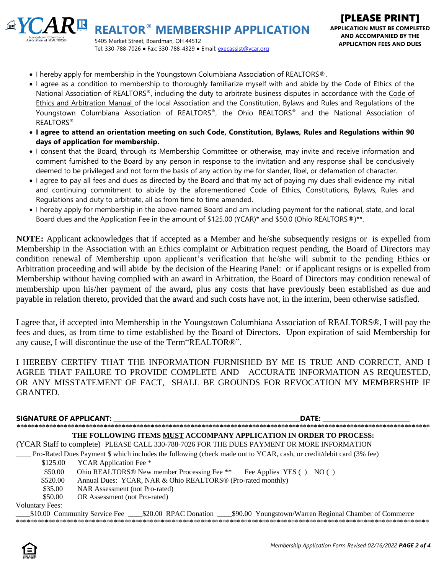

- I hereby apply for membership in the Youngstown Columbiana Association of REALTORS<sup>®</sup>.
- I agree as a condition to membership to thoroughly familiarize myself with and abide by the Code of Ethics of the National Association of REALTORS®, including the duty to arbitrate business disputes in accordance with the Code of Ethics and Arbitration Manual of the local Association and the Constitution, Bylaws and Rules and Regulations of the Youngstown Columbiana Association of REALTORS®, the Ohio REALTORS® and the National Association of REALTORS®.
- **I agree to attend an orientation meeting on such Code, Constitution, Bylaws, Rules and Regulations within 90 days of application for membership.**
- I consent that the Board, through its Membership Committee or otherwise, may invite and receive information and comment furnished to the Board by any person in response to the invitation and any response shall be conclusively deemed to be privileged and not form the basis of any action by me for slander, libel, or defamation of character.
- I agree to pay all fees and dues as directed by the Board and that my act of paying my dues shall evidence my initial and continuing commitment to abide by the aforementioned Code of Ethics, Constitutions, Bylaws, Rules and Regulations and duty to arbitrate, all as from time to time amended.
- I hereby apply for membership in the above-named Board and am including payment for the national, state, and local Board dues and the Application Fee in the amount of \$125.00 (YCAR)\* and \$50.0 (Ohio REALTORS®)\*\*.

**NOTE:** Applicant acknowledges that if accepted as a Member and he/she subsequently resigns or is expelled from Membership in the Association with an Ethics complaint or Arbitration request pending, the Board of Directors may condition renewal of Membership upon applicant's verification that he/she will submit to the pending Ethics or Arbitration proceeding and will abide by the decision of the Hearing Panel: or if applicant resigns or is expelled from Membership without having complied with an award in Arbitration, the Board of Directors may condition renewal of membership upon his/her payment of the award, plus any costs that have previously been established as due and payable in relation thereto, provided that the award and such costs have not, in the interim, been otherwise satisfied.

I agree that, if accepted into Membership in the Youngstown Columbiana Association of REALTORS®, I will pay the fees and dues, as from time to time established by the Board of Directors. Upon expiration of said Membership for any cause, I will discontinue the use of the Term"REALTOR®".

I HEREBY CERTIFY THAT THE INFORMATION FURNISHED BY ME IS TRUE AND CORRECT, AND I AGREE THAT FAILURE TO PROVIDE COMPLETE AND ACCURATE INFORMATION AS REQUESTED, OR ANY MISSTATEMENT OF FACT, SHALL BE GROUNDS FOR REVOCATION MY MEMBERSHIP IF GRANTED.

## **SIGNATURE OF APPLICANT:** \_\_\_\_\_\_\_\_\_\_\_\_\_\_\_\_\_\_\_\_\_\_\_\_\_\_\_\_\_\_\_\_\_\_\_\_\_\_\_\_\_\_\_\_\_\_\_\_\_\_\_\_\_\_\_\_\_\_\_\_\_\_**DATE:** \_\_\_\_\_\_\_\_\_\_\_\_\_\_\_\_\_\_\_\_\_\_\_\_\_\_\_\_\_

**\*\*\*\*\*\*\*\*\*\*\*\*\*\*\*\*\*\*\*\*\*\*\*\*\*\*\*\*\*\*\*\*\*\*\*\*\*\*\*\*\*\*\*\*\*\*\*\*\*\*\*\*\*\*\*\*\*\*\*\*\*\*\*\*\*\*\*\*\*\*\*\*\*\*\*\*\*\*\*\*\*\*\*\*\*\*\*\*\*\*\*\*\*\*\*\*\*\*\*\*\*\*\*\*\*\*\*\*\*\*\*\*\*\* THE FOLLOWING ITEMS MUST ACCOMPANY APPLICATION IN ORDER TO PROCESS:**

(YCAR Staff to complete) PLEASE CALL 330-788-7026 FOR THE DUES PAYMENT OR MORE INFORMATION

Pro-Rated Dues Payment \$ which includes the following (check made out to YCAR, cash, or credit/debit card (3% fee)

\$125.00 YCAR Application Fee \*

\$50.00 Ohio REALTORS® New member Processing Fee \*\* Fee Applies YES () NO ()

\$520.00 Annual Dues: YCAR, NAR & Ohio REALTORS<sup>®</sup> (Pro-rated monthly)

- \$35.00 NAR Assessment (not Pro-rated)
- \$50.00 OR Assessment (not Pro-rated)

Voluntary Fees:

\_\_\_\_\$10.00 Community Service Fee \_\_\_\_\$20.00 RPAC Donation \_\_\_\_\$90.00 Youngstown/Warren Regional Chamber of Commerce \*\*\*\*\*\*\*\*\*\*\*\*\*\*\*\*\*\*\*\*\*\*\*\*\*\*\*\*\*\*\*\*\*\*\*\*\*\*\*\*\*\*\*\*\*\*\*\*\*\*\*\*\*\*\*\*\*\*\*\*\*\*\*\*\*\*\*\*\*\*\*\*\*\*\*\*\*\*\*\*\*\*\*\*\*\*\*\*\*\*\*\*\*\*\*\*\*\*\*\*\*\*\*\*\*\*\*\*\*\*\*\*\*\*

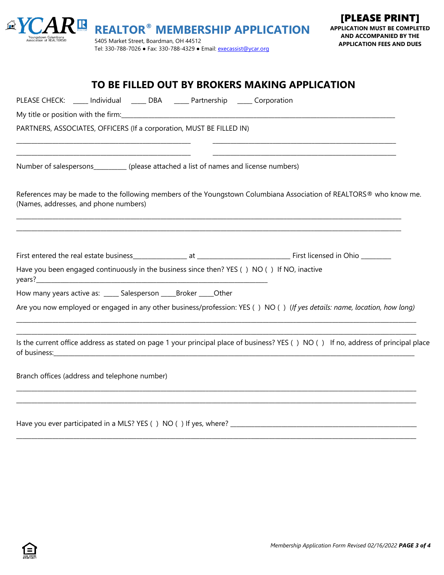|                                                   | $A \times CAR$ REALTOR <sup>®</sup> MEMBERSHIP APPLICATION         | <b>API</b> |
|---------------------------------------------------|--------------------------------------------------------------------|------------|
| Youngstown Columbiana<br>Association of REALTORS® | 5405 Market Street, Boardman, OH 44512                             |            |
|                                                   | Tel: 330-788-7026 • Fax: 330-788-4329 • Email: execassist@ycar.org |            |

| TO BE FILLED OUT BY BROKERS MAKING APPLICATION                                                                                                                                                                |
|---------------------------------------------------------------------------------------------------------------------------------------------------------------------------------------------------------------|
| PLEASE CHECK: ____ Individual _____ DBA _____ Partnership _____ Corporation                                                                                                                                   |
| My title or position with the firm: Note that the state of the state of the state of the state of the state of                                                                                                |
| PARTNERS, ASSOCIATES, OFFICERS (If a corporation, MUST BE FILLED IN)                                                                                                                                          |
| Number of salespersons___________ (please attached a list of names and license numbers)                                                                                                                       |
| References may be made to the following members of the Youngstown Columbiana Association of REALTORS® who know me.<br>(Names, addresses, and phone numbers)                                                   |
| Have you been engaged continuously in the business since then? YES () NO () If NO, inactive                                                                                                                   |
|                                                                                                                                                                                                               |
| How many years active as: _____ Salesperson _____ Broker _____ Other                                                                                                                                          |
| Are you now employed or engaged in any other business/profession: YES () NO () (If yes details: name, location, how long)<br>,我们就会在这里的人,我们就会在这里的人,我们就会在这里的人,我们就会在这里的人,我们就会在这里的人,我们就会在这里的人,我们就会在这里的人,我们就会在这里的人 |
| Is the current office address as stated on page 1 your principal place of business? YES () NO () If no, address of principal place                                                                            |
| Branch offices (address and telephone number)                                                                                                                                                                 |
|                                                                                                                                                                                                               |

**\_\_\_\_\_\_\_\_\_\_\_\_\_\_\_\_\_\_\_\_\_\_\_\_\_\_\_\_\_\_\_\_\_\_\_\_\_\_\_\_\_\_\_\_\_\_\_\_\_\_\_\_\_\_\_\_\_\_\_\_\_\_\_\_\_\_\_\_\_\_\_\_\_\_\_\_\_\_\_\_\_\_\_\_\_\_\_\_\_\_\_\_\_\_\_\_\_\_\_\_\_\_\_\_\_\_\_\_\_\_\_\_\_\_\_\_\_\_\_\_\_\_\_\_\_\_\_\_\_\_\_\_\_**